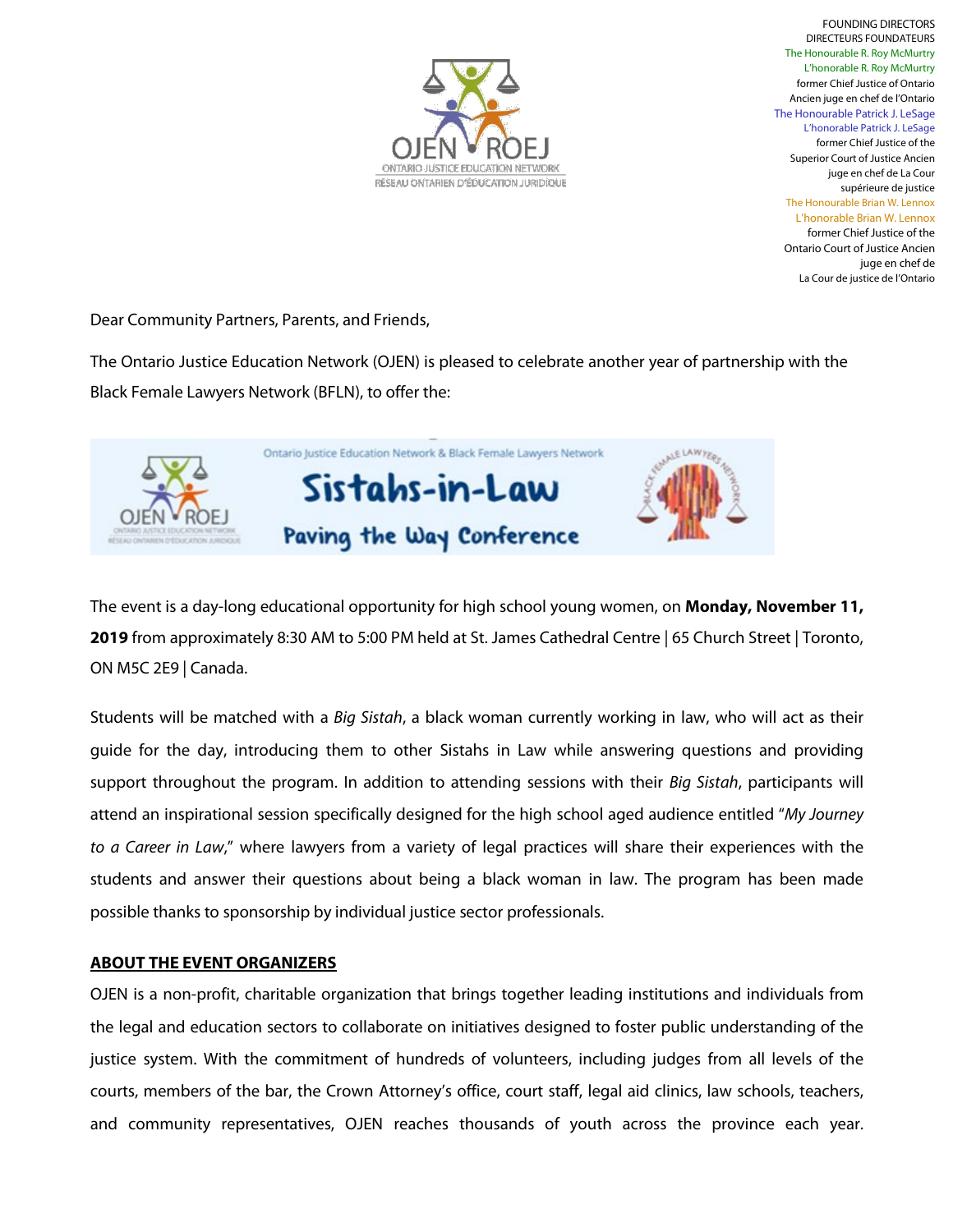

FOUNDING DIRECTORS DIRECTEURS FOUNDATEURS The Honourable R. Roy McMurtry L'honorable R. Roy McMurtry former Chief Justice of Ontario Ancien juge en chef de l'Ontario The Honourable Patrick J. LeSage L'honorable Patrick J. LeSage former Chief Justice of the Superior Court of Justice Ancien juge en chef de La Cour supérieure de justice The Honourable Brian W. Lennox L'honorable Brian W. Lennox former Chief Justice of the Ontario Court of Justice Ancien juge en chef de La Cour de justice de l'Ontario

Dear Community Partners, Parents, and Friends,

The Ontario Justice Education Network (OJEN) is pleased to celebrate another year of partnership with the Black Female Lawyers Network (BFLN), to offer the:



The event is a day-long educational opportunity for high school young women, on **Monday, November 11, 2019** from approximately 8:30 AM to 5:00 PM held at St. James Cathedral Centre | 65 Church Street | Toronto, ON M5C 2E9 | Canada.

Students will be matched with a *Big Sistah*, a black woman currently working in law, who will act as their guide for the day, introducing them to other Sistahs in Law while answering questions and providing support throughout the program. In addition to attending sessions with their *Big Sistah*, participants will attend an inspirational session specifically designed for the high school aged audience entitled "*My Journey to a Career in Law*," where lawyers from a variety of legal practices will share their experiences with the students and answer their questions about being a black woman in law. The program has been made possible thanks to sponsorship by individual justice sector professionals.

## **ABOUT THE EVENT ORGANIZERS**

OJEN is a non-profit, charitable organization that brings together leading institutions and individuals from the legal and education sectors to collaborate on initiatives designed to foster public understanding of the justice system. With the commitment of hundreds of volunteers, including judges from all levels of the courts, members of the bar, the Crown Attorney's office, court staff, legal aid clinics, law schools, teachers, and community representatives, OJEN reaches thousands of youth across the province each year.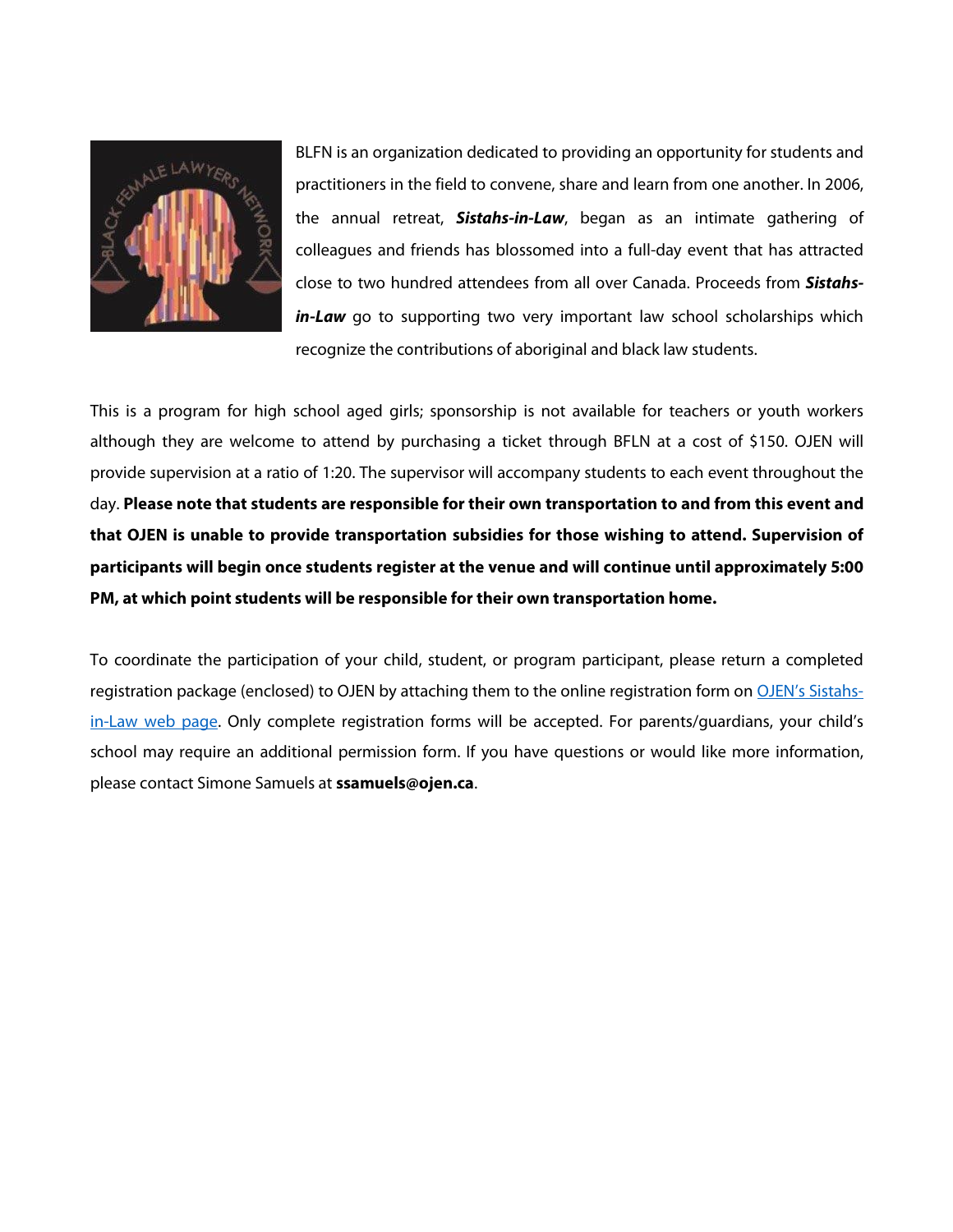

BLFN is an organization dedicated to providing an opportunity for students and practitioners in the field to convene, share and learn from one another. In 2006, the annual retreat, *Sistahs-in-Law*, began as an intimate gathering of colleagues and friends has blossomed into a full-day event that has attracted close to two hundred attendees from all over Canada. Proceeds from *Sistahs*in-Law go to supporting two very important law school scholarships which recognize the contributions of aboriginal and black law students.

This is a program for high school aged girls; sponsorship is not available for teachers or youth workers although they are welcome to attend by purchasing a ticket through BFLN at a cost of \$150. OJEN will provide supervision at a ratio of 1:20. The supervisor will accompany students to each event throughout the day. **Please note that students are responsible for their own transportation to and from this event and that OJEN is unable to provide transportation subsidies for those wishing to attend. Supervision of participants will begin once students register at the venue and will continue until approximately 5:00 PM, at which point students will be responsible for their own transportation home.**

To coordinate the participation of your child, student, or program participant, please return a completed registration package (enclosed) to OJEN by attaching them to the online registration form o[n OJEN's Sistahs](http://ojen.ca/en/program/sistahs-in-law-paving-the-way)[in-Law web page.](http://ojen.ca/en/program/sistahs-in-law-paving-the-way) Only complete registration forms will be accepted. For parents/guardians, your child's school may require an additional permission form. If you have questions or would like more information, please contact Simone Samuels at **ssamuels@ojen.ca**.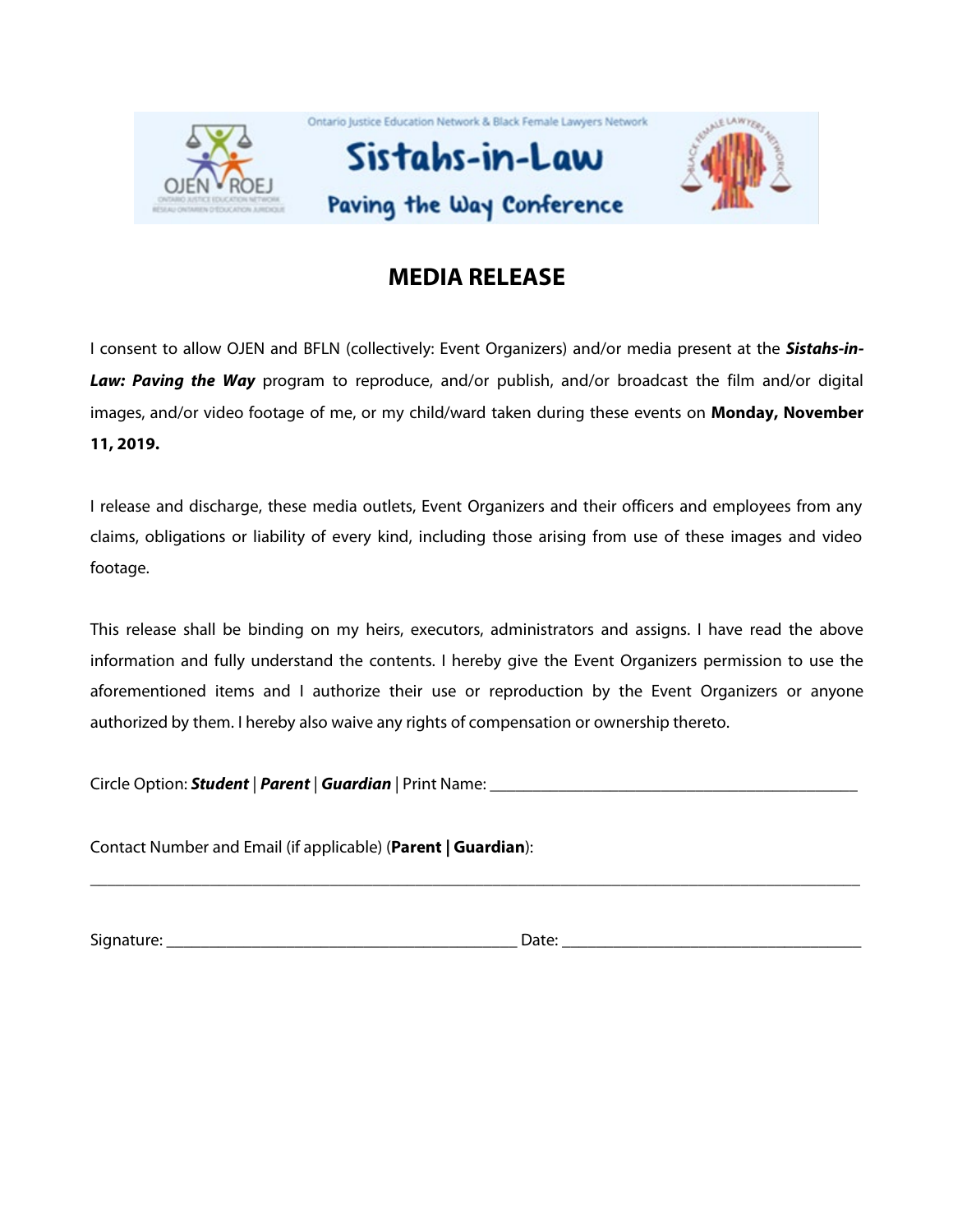

## **MEDIA RELEASE**

I consent to allow OJEN and BFLN (collectively: Event Organizers) and/or media present at the *Sistahs-in-Law: Paving the Way* program to reproduce, and/or publish, and/or broadcast the film and/or digital images, and/or video footage of me, or my child/ward taken during these events on **Monday, November 11, 2019.**

I release and discharge, these media outlets, Event Organizers and their officers and employees from any claims, obligations or liability of every kind, including those arising from use of these images and video footage.

This release shall be binding on my heirs, executors, administrators and assigns. I have read the above information and fully understand the contents. I hereby give the Event Organizers permission to use the aforementioned items and I authorize their use or reproduction by the Event Organizers or anyone authorized by them. I hereby also waive any rights of compensation or ownership thereto.

\_\_\_\_\_\_\_\_\_\_\_\_\_\_\_\_\_\_\_\_\_\_\_\_\_\_\_\_\_\_\_\_\_\_\_\_\_\_\_\_\_\_\_\_\_\_\_\_\_\_\_\_\_\_\_\_\_\_\_\_\_\_\_\_\_\_\_\_\_\_\_\_\_\_\_\_\_\_\_\_\_\_\_\_\_\_\_\_\_\_

Circle Option: *Student* | *Parent* | *Guardian* | Print Name: \_\_\_\_\_\_\_\_\_\_\_\_\_\_\_\_\_\_\_\_\_\_\_\_\_\_\_\_\_\_\_\_\_\_\_\_\_\_\_\_\_\_\_

Contact Number and Email (if applicable) (**Parent | Guardian**):

Signature: \_\_\_\_\_\_\_\_\_\_\_\_\_\_\_\_\_\_\_\_\_\_\_\_\_\_\_\_\_\_\_\_\_\_\_\_\_\_\_\_\_ Date: \_\_\_\_\_\_\_\_\_\_\_\_\_\_\_\_\_\_\_\_\_\_\_\_\_\_\_\_\_\_\_\_\_\_\_